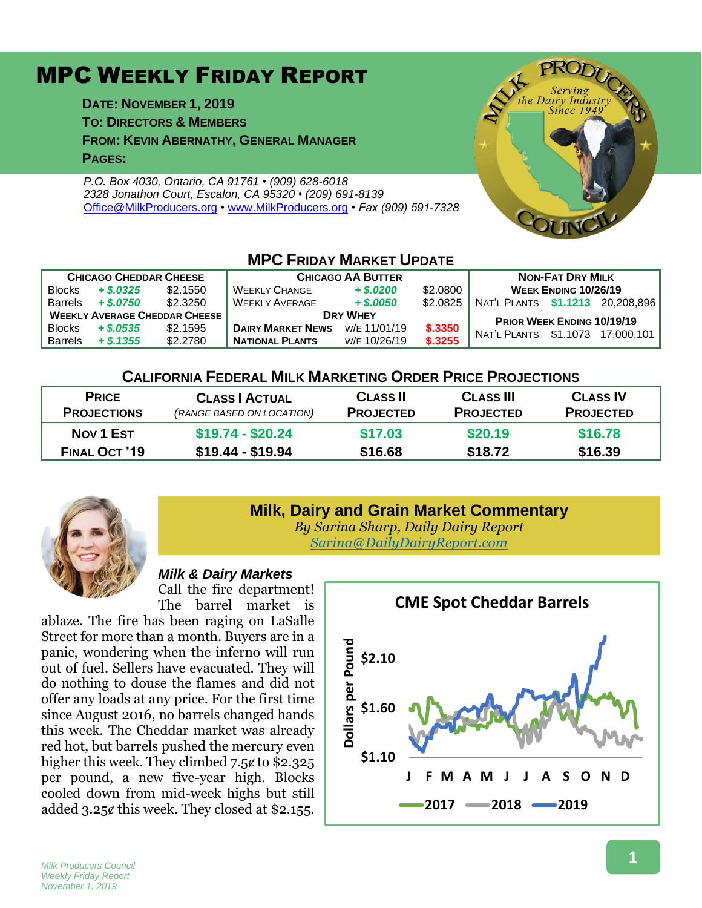# MPC WEEKLY FRIDAY REPORT

**DATE: NOVEMBER 1, 2019**

**TO: DIRECTORS & MEMBERS**

**FROM: KEVIN ABERNATHY, GENERAL MANAGER PAGES:**

*P.O. Box 4030, Ontario, CA 91761 • (909) 628-6018 2328 Jonathon Court, Escalon, CA 95320 • (209) 691-8139* [Office@MilkProducers.org](mailto:office@milkproducers.org) *•* [www.MilkProducers.org](http://www.milkproducers.org/) *• Fax (909) 591-7328*



#### **MPC FRIDAY MARKET UPDATE CHICAGO CHEDDAR CHEESE CHICAGO AA BUTTER NON-FAT DRY MILK** Blocks *+ \$.0325* \$2.1550 WEEKLY CHANGE *+ \$.0200* \$2.0800 **WEEK ENDING 10/26/19** Barrels *+ \$.0750* \$2.3250 WEEKLY AVERAGE *+ \$.0050* \$2.0825 NAT'L PLANTS **\$1.1213** 20,208,896 **WEEKLY AVERAGE CHEDDAR CHEESE**<br>Blocks + \$.0535 \$2.1595 DAIRY MARKET NEWS W/E 11/01/19 \$.3350 NUTL BLUTE 64.4979 47.9990 BIOCKS + \$.0535 \$2.1595 | DAIRY MARKET NEWS W/E 11/01/19 \$.3350 | NAT'L PLANTS \$1.1073 17,000,101 **NATIONAL PLANTS**

### **CALIFORNIA FEDERAL MILK MARKETING ORDER PRICE PROJECTIONS**

| <b>PRICE</b><br><b>PROJECTIONS</b> | <b>CLASS   ACTUAL</b><br>(RANGE BASED ON LOCATION) | <b>CLASS II</b><br><b>PROJECTED</b> | <b>CLASS III</b><br><b>PROJECTED</b> | <b>CLASS IV</b><br><b>PROJECTED</b> |
|------------------------------------|----------------------------------------------------|-------------------------------------|--------------------------------------|-------------------------------------|
| <b>Nov 1 Est</b>                   | $$19.74 - $20.24$                                  | \$17.03                             | \$20.19                              | \$16.78                             |
| <b>FINAL OCT '19</b>               | $$19.44 - $19.94$                                  | \$16.68                             | \$18.72                              | \$16.39                             |



# **Milk, Dairy and Grain Market Commentary**

*By Sarina Sharp, Daily Dairy Report [Sarina@DailyDairyReport.com](mailto:Sarina@DailyDairyReport.com)*

#### *Milk & Dairy Markets*

Call the fire department! The barrel market is

ablaze. The fire has been raging on LaSalle Street for more than a month. Buyers are in a panic, wondering when the inferno will run out of fuel. Sellers have evacuated. They will do nothing to douse the flames and did not offer any loads at any price. For the first time since August 2016, no barrels changed hands this week. The Cheddar market was already red hot, but barrels pushed the mercury even higher this week. They climbed  $7.5¢$  to \$2.325 per pound, a new five-year high. Blocks cooled down from mid-week highs but still added 3.25¢ this week. They closed at \$2.155.

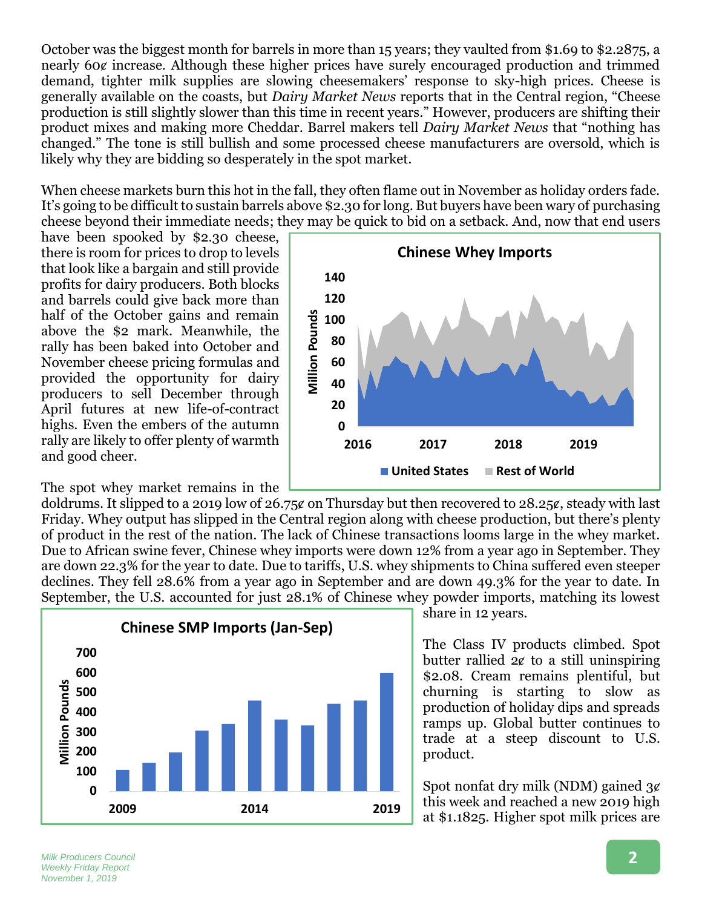October was the biggest month for barrels in more than 15 years; they vaulted from \$1.69 to \$2.2875, a nearly 60¢ increase. Although these higher prices have surely encouraged production and trimmed demand, tighter milk supplies are slowing cheesemakers' response to sky-high prices. Cheese is generally available on the coasts, but *Dairy Market News* reports that in the Central region, "Cheese production is still slightly slower than this time in recent years." However, producers are shifting their product mixes and making more Cheddar. Barrel makers tell *Dairy Market News* that "nothing has changed." The tone is still bullish and some processed cheese manufacturers are oversold, which is likely why they are bidding so desperately in the spot market.

When cheese markets burn this hot in the fall, they often flame out in November as holiday orders fade. It's going to be difficult to sustain barrels above \$2.30 for long. But buyers have been wary of purchasing cheese beyond their immediate needs; they may be quick to bid on a setback. And, now that end users

have been spooked by \$2.30 cheese, there is room for prices to drop to levels that look like a bargain and still provide profits for dairy producers. Both blocks and barrels could give back more than half of the October gains and remain above the \$2 mark. Meanwhile, the rally has been baked into October and November cheese pricing formulas and provided the opportunity for dairy producers to sell December through April futures at new life-of-contract highs. Even the embers of the autumn rally are likely to offer plenty of warmth and good cheer.

The spot whey market remains in the



doldrums. It slipped to a 2019 low of 26.75 $\epsilon$  on Thursday but then recovered to 28.25 $\epsilon$ , steady with last Friday. Whey output has slipped in the Central region along with cheese production, but there's plenty of product in the rest of the nation. The lack of Chinese transactions looms large in the whey market. Due to African swine fever, Chinese whey imports were down 12% from a year ago in September. They are down 22.3% for the year to date. Due to tariffs, U.S. whey shipments to China suffered even steeper declines. They fell 28.6% from a year ago in September and are down 49.3% for the year to date. In September, the U.S. accounted for just 28.1% of Chinese whey powder imports, matching its lowest



share in 12 years.

The Class IV products climbed. Spot butter rallied  $2¢$  to a still uninspiring \$2.08. Cream remains plentiful, but churning is starting to slow as production of holiday dips and spreads ramps up. Global butter continues to trade at a steep discount to U.S. product.

Spot nonfat dry milk (NDM) gained  $3¢$ this week and reached a new 2019 high at \$1.1825. Higher spot milk prices are

*Milk Producers Council Weekly Friday Report November 1, 2019*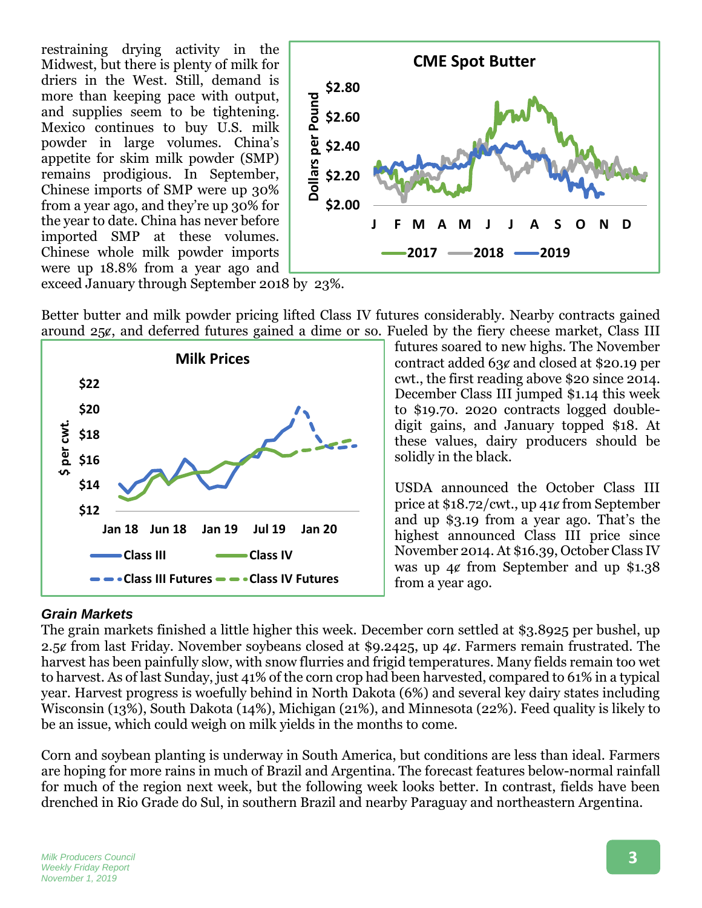restraining drying activity in the Midwest, but there is plenty of milk for driers in the West. Still, demand is more than keeping pace with output, and supplies seem to be tightening. Mexico continues to buy U.S. milk powder in large volumes. China's appetite for skim milk powder (SMP) remains prodigious. In September, Chinese imports of SMP were up 30% from a year ago, and they're up 30% for the year to date. China has never before imported SMP at these volumes. Chinese whole milk powder imports were up 18.8% from a year ago and



exceed January through September 2018 by 23%.

Better butter and milk powder pricing lifted Class IV futures considerably. Nearby contracts gained around 25ȼ, and deferred futures gained a dime or so. Fueled by the fiery cheese market, Class III



futures soared to new highs. The November contract added 63ȼ and closed at \$20.19 per cwt., the first reading above \$20 since 2014. December Class III jumped \$1.14 this week to \$19.70. 2020 contracts logged doubledigit gains, and January topped \$18. At these values, dairy producers should be solidly in the black.

USDA announced the October Class III price at \$18.72/cwt., up 41ȼ from September and up \$3.19 from a year ago. That's the highest announced Class III price since November 2014. At \$16.39, October Class IV was up 4¢ from September and up \$1.38 from a year ago.

## *Grain Markets*

The grain markets finished a little higher this week. December corn settled at \$3.8925 per bushel, up 2.5¢ from last Friday. November soybeans closed at \$9.2425, up 4¢. Farmers remain frustrated. The harvest has been painfully slow, with snow flurries and frigid temperatures. Many fields remain too wet to harvest. As of last Sunday, just 41% of the corn crop had been harvested, compared to 61% in a typical year. Harvest progress is woefully behind in North Dakota (6%) and several key dairy states including Wisconsin (13%), South Dakota (14%), Michigan (21%), and Minnesota (22%). Feed quality is likely to be an issue, which could weigh on milk yields in the months to come.

Corn and soybean planting is underway in South America, but conditions are less than ideal. Farmers are hoping for more rains in much of Brazil and Argentina. The forecast features below-normal rainfall for much of the region next week, but the following week looks better. In contrast, fields have been drenched in Rio Grade do Sul, in southern Brazil and nearby Paraguay and northeastern Argentina.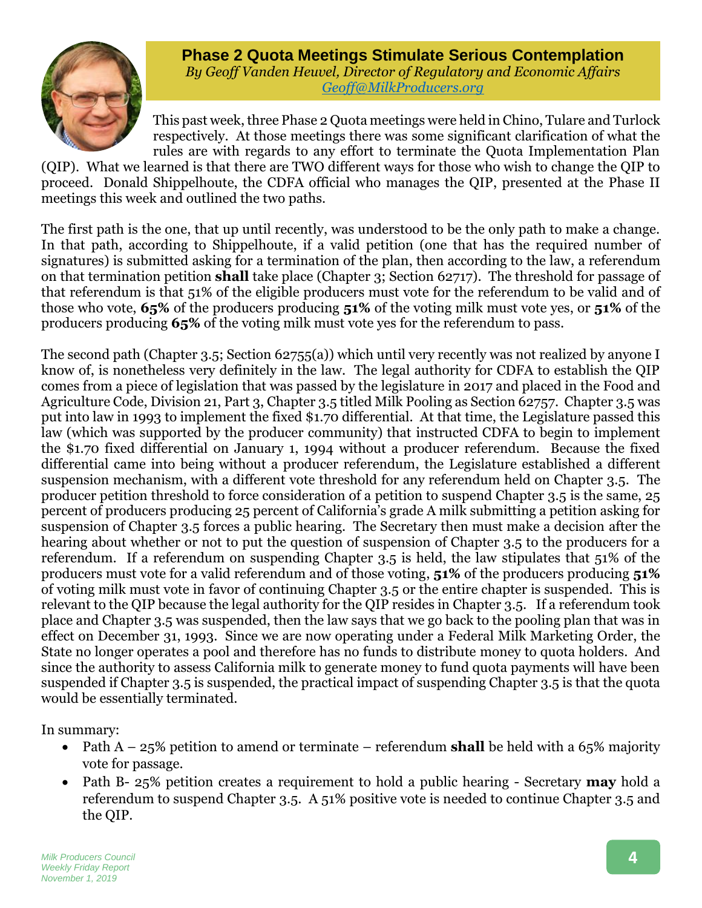

**Phase 2 Quota Meetings Stimulate Serious Contemplation** *By Geoff Vanden Heuvel, Director of Regulatory and Economic Affairs [Geoff@MilkProducers.org](mailto:Geoff@MilkProducers.org)*

This past week, three Phase 2 Quota meetings were held in Chino, Tulare and Turlock respectively. At those meetings there was some significant clarification of what the rules are with regards to any effort to terminate the Quota Implementation Plan

(QIP). What we learned is that there are TWO different ways for those who wish to change the QIP to proceed. Donald Shippelhoute, the CDFA official who manages the QIP, presented at the Phase II meetings this week and outlined the two paths.

The first path is the one, that up until recently, was understood to be the only path to make a change. In that path, according to Shippelhoute, if a valid petition (one that has the required number of signatures) is submitted asking for a termination of the plan, then according to the law, a referendum on that termination petition **shall** take place (Chapter 3; Section 62717). The threshold for passage of that referendum is that 51% of the eligible producers must vote for the referendum to be valid and of those who vote, **65%** of the producers producing **51%** of the voting milk must vote yes, or **51%** of the producers producing **65%** of the voting milk must vote yes for the referendum to pass.

The second path (Chapter 3.5; Section 62755(a)) which until very recently was not realized by anyone I know of, is nonetheless very definitely in the law. The legal authority for CDFA to establish the QIP comes from a piece of legislation that was passed by the legislature in 2017 and placed in the Food and Agriculture Code, Division 21, Part 3, Chapter 3.5 titled Milk Pooling as Section 62757. Chapter 3.5 was put into law in 1993 to implement the fixed \$1.70 differential. At that time, the Legislature passed this law (which was supported by the producer community) that instructed CDFA to begin to implement the \$1.70 fixed differential on January 1, 1994 without a producer referendum. Because the fixed differential came into being without a producer referendum, the Legislature established a different suspension mechanism, with a different vote threshold for any referendum held on Chapter 3.5. The producer petition threshold to force consideration of a petition to suspend Chapter 3.5 is the same, 25 percent of producers producing 25 percent of California's grade A milk submitting a petition asking for suspension of Chapter 3.5 forces a public hearing. The Secretary then must make a decision after the hearing about whether or not to put the question of suspension of Chapter 3.5 to the producers for a referendum. If a referendum on suspending Chapter 3.5 is held, the law stipulates that 51% of the producers must vote for a valid referendum and of those voting, **51%** of the producers producing **51%** of voting milk must vote in favor of continuing Chapter 3.5 or the entire chapter is suspended. This is relevant to the QIP because the legal authority for the QIP resides in Chapter 3.5. If a referendum took place and Chapter 3.5 was suspended, then the law says that we go back to the pooling plan that was in effect on December 31, 1993. Since we are now operating under a Federal Milk Marketing Order, the State no longer operates a pool and therefore has no funds to distribute money to quota holders. And since the authority to assess California milk to generate money to fund quota payments will have been suspended if Chapter 3.5 is suspended, the practical impact of suspending Chapter 3.5 is that the quota would be essentially terminated.

In summary:

- Path A 25% petition to amend or terminate referendum **shall** be held with a 65% majority vote for passage.
- Path B- 25% petition creates a requirement to hold a public hearing Secretary **may** hold a referendum to suspend Chapter 3.5. A 51% positive vote is needed to continue Chapter 3.5 and the QIP.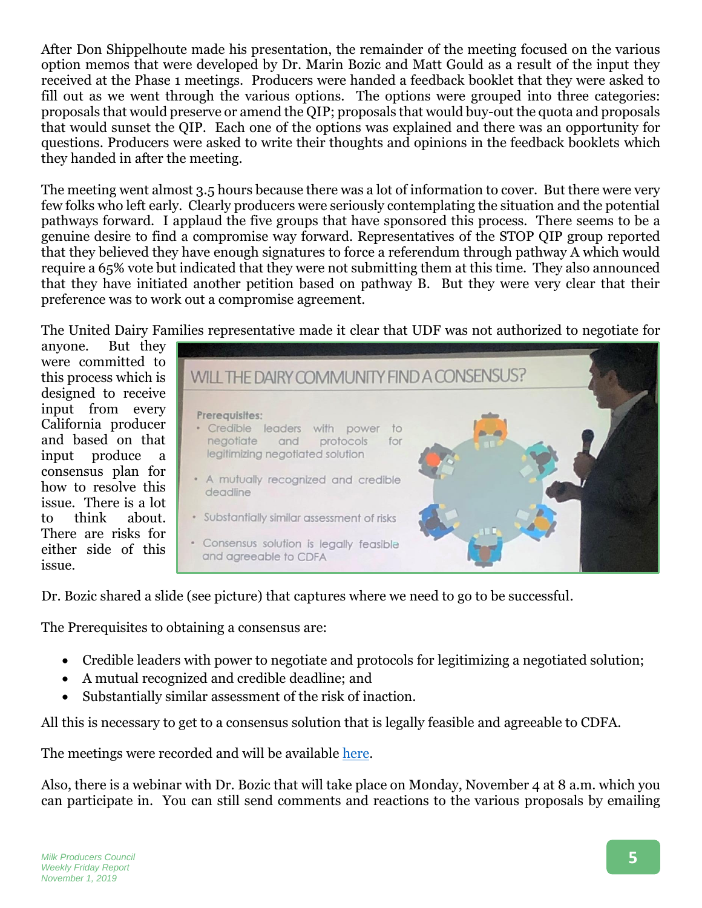After Don Shippelhoute made his presentation, the remainder of the meeting focused on the various option memos that were developed by Dr. Marin Bozic and Matt Gould as a result of the input they received at the Phase 1 meetings. Producers were handed a feedback booklet that they were asked to fill out as we went through the various options. The options were grouped into three categories: proposals that would preserve or amend the QIP; proposals that would buy-out the quota and proposals that would sunset the QIP. Each one of the options was explained and there was an opportunity for questions. Producers were asked to write their thoughts and opinions in the feedback booklets which they handed in after the meeting.

The meeting went almost 3.5 hours because there was a lot of information to cover. But there were very few folks who left early. Clearly producers were seriously contemplating the situation and the potential pathways forward. I applaud the five groups that have sponsored this process. There seems to be a genuine desire to find a compromise way forward. Representatives of the STOP QIP group reported that they believed they have enough signatures to force a referendum through pathway A which would require a 65% vote but indicated that they were not submitting them at this time. They also announced that they have initiated another petition based on pathway B. But they were very clear that their preference was to work out a compromise agreement.

The United Dairy Families representative made it clear that UDF was not authorized to negotiate for

anyone. But they were committed to this process which is designed to receive input from every California producer and based on that input produce a consensus plan for how to resolve this issue. There is a lot to think about. There are risks for either side of this issue.



Dr. Bozic shared a slide (see picture) that captures where we need to go to be successful.

The Prerequisites to obtaining a consensus are:

- Credible leaders with power to negotiate and protocols for legitimizing a negotiated solution;
- A mutual recognized and credible deadline; and
- Substantially similar assessment of the risk of inaction.

All this is necessary to get to a consensus solution that is legally feasible and agreeable to CDFA.

The meetings were recorded and will be available [here.](https://www.dairyfamilies.org/)

Also, there is a webinar with Dr. Bozic that will take place on Monday, November 4 at 8 a.m. which you can participate in. You can still send comments and reactions to the various proposals by emailing